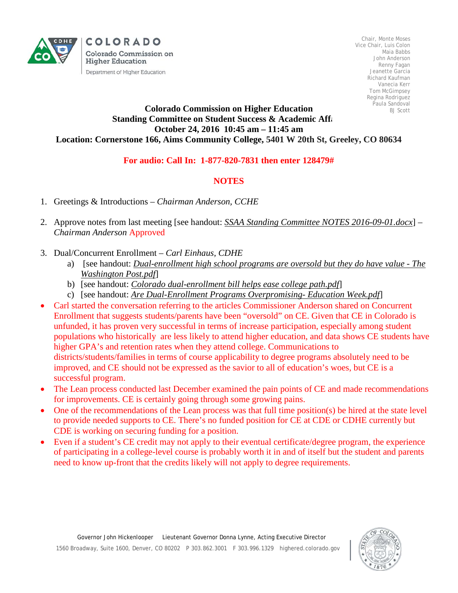

COLORADO Colorado Commission on **Higher Education** Department of Higher Education

Chair, Monte Moses Vice Chair, Luis Colon Maia Babbs John Anderson Renny Fagan Jeanette Garcia Richard Kaufman Vanecia Kerr Tom McGimpsey Regina Rodriguez Paula Sandoval BJ Scott

## **Colorado Commission on Higher Education Standing Committee on Student Success & Academic Affairs October 24, 2016 10:45 am – 11:45 am Location: Cornerstone 166, Aims Community College, 5401 W 20th St, Greeley, CO 80634**

## **For audio: Call In: 1-877-820-7831 then enter 128479#**

## **NOTES**

- 1. Greetings & Introductions *Chairman Anderson, CCHE*
- 2. Approve notes from last meeting [see handout: *SSAA Standing Committee NOTES 2016-09-01.docx*] *Chairman Anderson* Approved
- 3. Dual/Concurrent Enrollment *Carl Einhaus, CDHE*
	- a) [see handout: *Dual-enrollment high school programs are oversold but they do have value - The Washington Post.pdf*]
	- b) [see handout: *Colorado dual-enrollment bill helps ease college path.pdf*]
	- c) [see handout: *Are Dual-Enrollment Programs Overpromising- Education Week.pdf*]
- Carl started the conversation referring to the articles Commissioner Anderson shared on Concurrent Enrollment that suggests students/parents have been "oversold" on CE. Given that CE in Colorado is unfunded, it has proven very successful in terms of increase participation, especially among student populations who historically are less likely to attend higher education, and data shows CE students have higher GPA's and retention rates when they attend college. Communications to districts/students/families in terms of course applicability to degree programs absolutely need to be improved, and CE should not be expressed as the savior to all of education's woes, but CE is a successful program.
- The Lean process conducted last December examined the pain points of CE and made recommendations for improvements. CE is certainly going through some growing pains.
- One of the recommendations of the Lean process was that full time position(s) be hired at the state level to provide needed supports to CE. There's no funded position for CE at CDE or CDHE currently but CDE is working on securing funding for a position.
- Even if a student's CE credit may not apply to their eventual certificate/degree program, the experience of participating in a college-level course is probably worth it in and of itself but the student and parents need to know up-front that the credits likely will not apply to degree requirements.